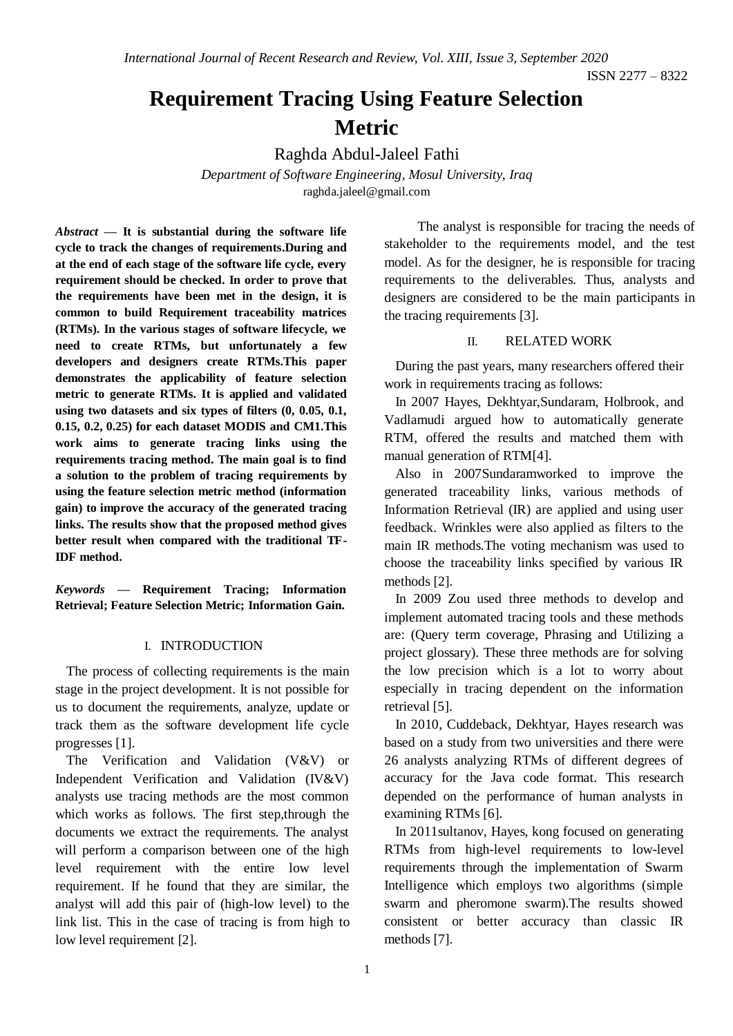# **Requirement Tracing Using Feature Selection Metric**

Raghda Abdul-Jaleel Fathi

*Department of Software Engineering, Mosul University, Iraq* [raghda.jaleel@gmail.com](mailto:raghda.jaleel@gmail.com)

*Abstract* **— It is substantial during the software life cycle to track the changes of requirements.During and at the end of each stage of the software life cycle, every requirement should be checked. In order to prove that the requirements have been met in the design, it is common to build Requirement traceability matrices (RTMs). In the various stages of software lifecycle, we need to create RTMs, but unfortunately a few developers and designers create RTMs.This paper demonstrates the applicability of feature selection metric to generate RTMs. It is applied and validated using two datasets and six types of filters (0, 0.05, 0.1, 0.15, 0.2, 0.25) for each dataset MODIS and CM1.This work aims to generate tracing links using the requirements tracing method. The main goal is to find a solution to the problem of tracing requirements by using the feature selection metric method (information gain) to improve the accuracy of the generated tracing links. The results show that the proposed method gives better result when compared with the traditional TF-IDF method.**

*Keywords* **— Requirement Tracing; Information Retrieval; Feature Selection Metric; Information Gain.**

# I. INTRODUCTION

The process of collecting requirements is the main stage in the project development. It is not possible for us to document the requirements, analyze, update or track them as the software development life cycle progresses [1].

The Verification and Validation (V&V) or Independent Verification and Validation (IV&V) analysts use tracing methods are the most common which works as follows. The first step,through the documents we extract the requirements. The analyst will perform a comparison between one of the high level requirement with the entire low level requirement. If he found that they are similar, the analyst will add this pair of (high-low level) to the link list. This in the case of tracing is from high to low level requirement [2].

The analyst is responsible for tracing the needs of stakeholder to the requirements model, and the test model. As for the designer, he is responsible for tracing requirements to the deliverables. Thus, analysts and designers are considered to be the main participants in the tracing requirements [3].

#### II. RELATED WORK

During the past years, many researchers offered their work in requirements tracing as follows:

In 2007 Hayes, Dekhtyar,Sundaram, Holbrook, and Vadlamudi argued how to automatically generate RTM, offered the results and matched them with manual generation of RTM[4].

Also in 2007Sundaramworked to improve the generated traceability links, various methods of Information Retrieval (IR) are applied and using user feedback. Wrinkles were also applied as filters to the main IR methods.The voting mechanism was used to choose the traceability links specified by various IR methods [2].

In 2009 Zou used three methods to develop and implement automated tracing tools and these methods are: (Query term coverage, Phrasing and Utilizing a project glossary). These three methods are for solving the low precision which is a lot to worry about especially in tracing dependent on the information retrieval [5].

In 2010, Cuddeback, Dekhtyar, Hayes research was based on a study from two universities and there were 26 analysts analyzing RTMs of different degrees of accuracy for the Java code format. This research depended on the performance of human analysts in examining RTMs [6].

In 2011sultanov, Hayes, kong focused on generating RTMs from high-level requirements to low-level requirements through the implementation of Swarm Intelligence which employs two algorithms (simple swarm and pheromone swarm).The results showed consistent or better accuracy than classic IR methods [7].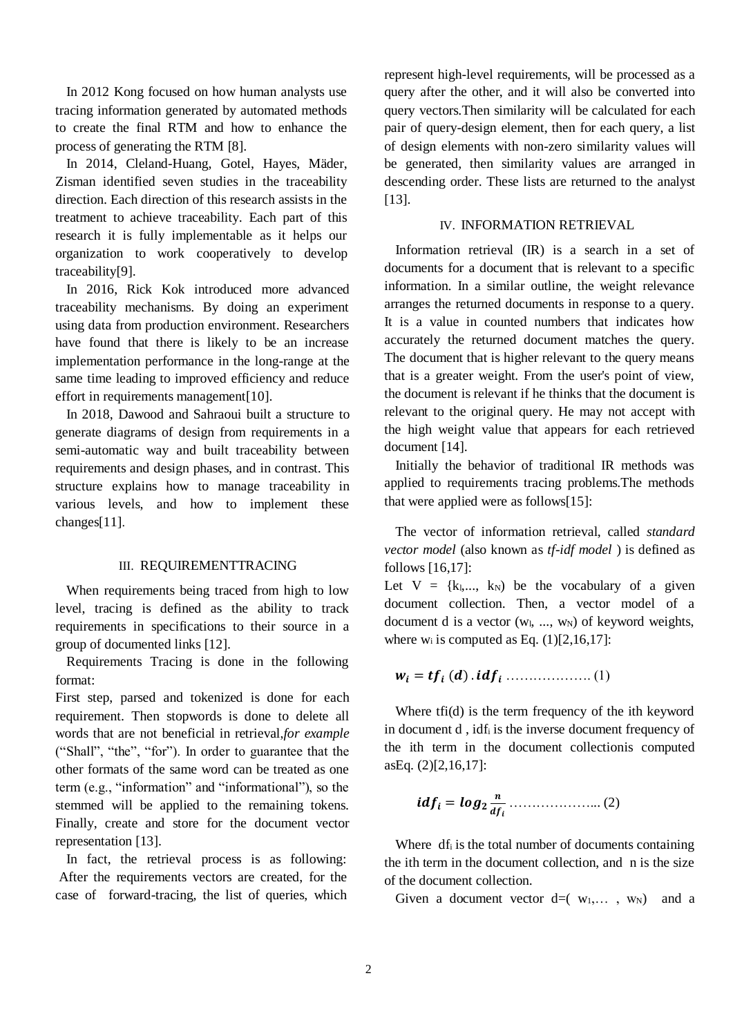In 2012 Kong focused on how human analysts use tracing information generated by automated methods to create the final RTM and how to enhance the process of generating the RTM [8].

In 2014, Cleland-Huang, Gotel, Hayes, Mäder, Zisman identified seven studies in the traceability direction. Each direction of this research assists in the treatment to achieve traceability. Each part of this research it is fully implementable as it helps our organization to work cooperatively to develop traceability[9].

In 2016, Rick Kok introduced more advanced traceability mechanisms. By doing an experiment using data from production environment. Researchers have found that there is likely to be an increase implementation performance in the long-range at the same time leading to improved efficiency and reduce effort in requirements management[10].

In 2018, Dawood and Sahraoui built a structure to generate diagrams of design from requirements in a semi-automatic way and built traceability between requirements and design phases, and in contrast. This structure explains how to manage traceability in various levels, and how to implement these changes[11].

#### III. REQUIREMENTTRACING

When requirements being traced from high to low level, tracing is defined as the ability to track requirements in specifications to their source in a group of documented links [12].

Requirements Tracing is done in the following format:

First step, parsed and tokenized is done for each requirement. Then stopwords is done to delete all words that are not beneficial in retrieval,*for example* ("Shall", "the", "for"). In order to guarantee that the other formats of the same word can be treated as one term (e.g., "information" and "informational"), so the stemmed will be applied to the remaining tokens. Finally, create and store for the document vector representation [13].

In fact, the retrieval process is as following: After the requirements vectors are created, for the case of forward-tracing, the list of queries, which

represent high-level requirements, will be processed as a query after the other, and it will also be converted into query vectors.Then similarity will be calculated for each pair of query-design element, then for each query, a list of design elements with non-zero similarity values will be generated, then similarity values are arranged in descending order. These lists are returned to the analyst [13].

# IV. INFORMATION RETRIEVAL

Information retrieval (IR) is a search in a set of documents for a document that is relevant to a specific information. In a similar outline, the weight relevance arranges the returned documents in response to a query. It is a value in counted numbers that indicates how accurately the returned document matches the query. The document that is higher relevant to the query means that is a greater weight. From the user's point of view, the document is relevant if he thinks that the document is relevant to the original query. He may not accept with the high weight value that appears for each retrieved document [14].

Initially the behavior of traditional IR methods was applied to requirements tracing problems.The methods that were applied were as follows[15]:

The vector of information retrieval, called *standard vector model* (also known as *tf-idf model* ) is defined as follows [16,17]:

Let  $V = \{k_1,..., k_N\}$  be the vocabulary of a given document collection. Then, a vector model of a document d is a vector  $(w_1, ..., w_N)$  of keyword weights, where  $w_i$  is computed as Eq. (1)[2,16,17]:

$$
w_i = tf_i(d).idf_i \dots (1)
$$

Where tfi(d) is the term frequency of the ith keyword in document d , idf<sup>i</sup> is the inverse document frequency of the ith term in the document collectionis computed asEq. (2)[2,16,17]:

 = ………………... (2)

Where df<sub>i</sub> is the total number of documents containing the ith term in the document collection, and n is the size of the document collection.

Given a document vector  $d=(w_1,..., w_N)$  and a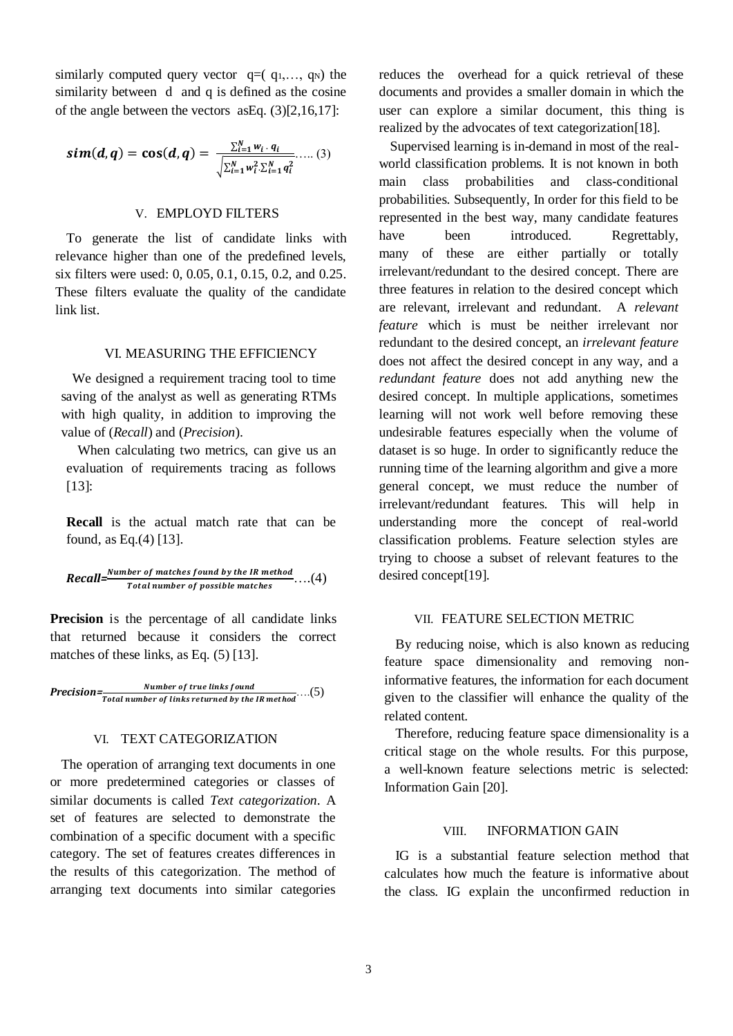similarly computed query vector  $q=(q_1,..., q_N)$  the similarity between d and q is defined as the cosine of the angle between the vectors asEq. (3)[2,16,17]:

$$
sim(d,q) = cos(d,q) = \frac{\sum_{i=1}^{N} w_i \cdot q_i}{\sqrt{\sum_{i=1}^{N} w_i^2 \cdot \sum_{i=1}^{N} q_i^2}} \dots (3)
$$

#### V. EMPLOYD FILTERS

To generate the list of candidate links with relevance higher than one of the predefined levels, six filters were used: 0, 0.05, 0.1, 0.15, 0.2, and 0.25. These filters evaluate the quality of the candidate link list.

#### VI. MEASURING THE EFFICIENCY

We designed a requirement tracing tool to time saving of the analyst as well as generating RTMs with high quality, in addition to improving the value of (*Recall*) and (*Precision*).

When calculating two metrics, can give us an evaluation of requirements tracing as follows [13]:

**Recall** is the actual match rate that can be found, as Eq.(4) [13].

**Recall** = 
$$
\frac{Number\ of\ matches\ found\ by\ the\ IR\ method}{Total\ number\ of\ possible\ matches}
$$
 (4)

**Precision** is the percentage of all candidate links that returned because it considers the correct matches of these links, as Eq. (5) [13].

*Precision* = <u>*number of links returned by the IR method*...(5)</u> Number of true links found

# VI. TEXT CATEGORIZATION

The operation of arranging text documents in one or more predetermined categories or classes of similar documents is called *Text categorization*. A set of features are selected to demonstrate the combination of a specific document with a specific category. The set of features creates differences in the results of this categorization. The method of arranging text documents into similar categories

reduces the overhead for a quick retrieval of these documents and provides a smaller domain in which the user can explore a similar document, this thing is realized by the advocates of text categorization[18].

Supervised learning is in-demand in most of the realworld classification problems. It is not known in both main class probabilities and class-conditional probabilities. Subsequently, In order for this field to be represented in the best way, many candidate features have been introduced. Regrettably, many of these are either partially or totally irrelevant/redundant to the desired concept. There are three features in relation to the desired concept which are relevant, irrelevant and redundant. A *relevant feature* which is must be neither irrelevant nor redundant to the desired concept, an *irrelevant feature* does not affect the desired concept in any way, and a *redundant feature* does not add anything new the desired concept. In multiple applications, sometimes learning will not work well before removing these undesirable features especially when the volume of dataset is so huge. In order to significantly reduce the running time of the learning algorithm and give a more general concept, we must reduce the number of irrelevant/redundant features. This will help in understanding more the concept of real-world classification problems. Feature selection styles are trying to choose a subset of relevant features to the desired concept[19].

#### VII. FEATURE SELECTION METRIC

By reducing noise, which is also known as reducing feature space dimensionality and removing noninformative features, the information for each document given to the classifier will enhance the quality of the related content.

Therefore, reducing feature space dimensionality is a critical stage on the whole results. For this purpose, a well-known feature selections metric is selected: Information Gain [20].

# VIII. **INFORMATION GAIN**

IG is a substantial feature selection method that calculates how much the feature is informative about the class. IG explain the unconfirmed reduction in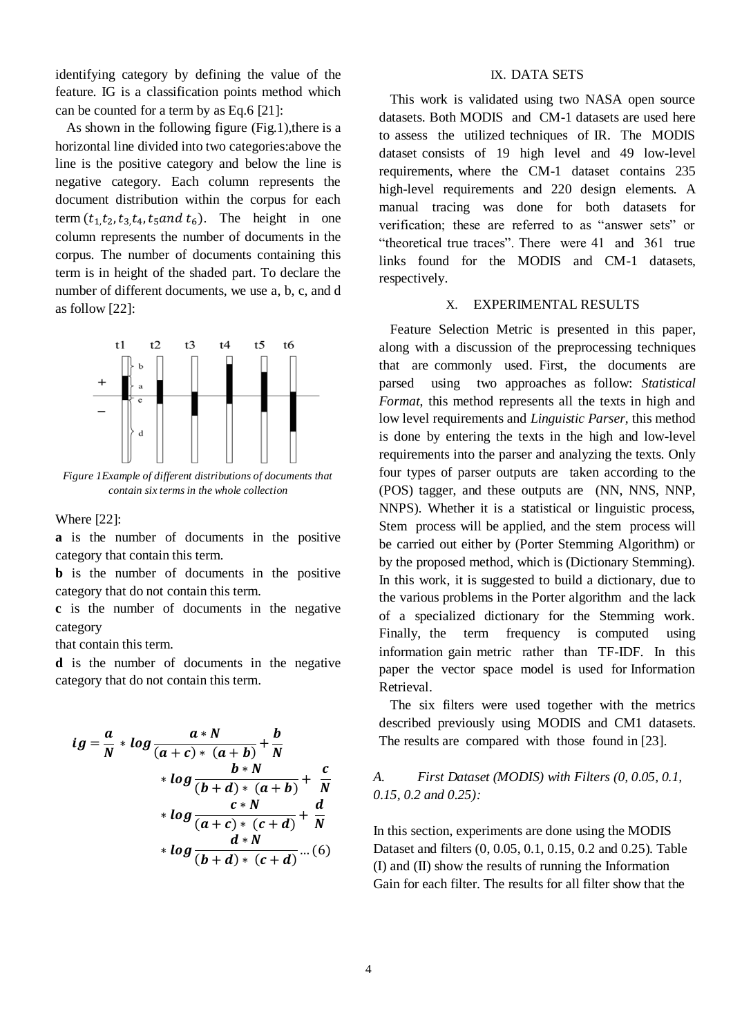identifying category by defining the value of the feature. IG is a classification points method which can be counted for a term by as Eq.6 [21]:

As shown in the following figure (Fig.1),there is a horizontal line divided into two categories:above the line is the positive category and below the line is negative category. Each column represents the document distribution within the corpus for each term  $(t_1, t_2, t_3, t_4, t_5, and t_6)$ . The height in one column represents the number of documents in the corpus. The number of documents containing this term is in height of the shaded part. To declare the number of different documents, we use a, b, c, and d as follow [22]:



*Figure 1Example of different distributions of documents that contain six terms in the whole collection*

Where [22]:

**a** is the number of documents in the positive category that contain this term.

**b** is the number of documents in the positive category that do not contain this term.

**c** is the number of documents in the negative category

that contain this term.

**d** is the number of documents in the negative category that do not contain this term.

$$
ig = \frac{a}{N} * log \frac{a*N}{(a+c)*(a+b)} + \frac{b}{N}
$$
  
\n
$$
* log \frac{b*N}{(b+d)*(a+b)} + \frac{c}{N}
$$
  
\n
$$
* log \frac{c*N}{(a+c)*(c+d)} + \frac{d}{N}
$$
  
\n
$$
* log \frac{d*N}{(b+d)*(c+d)}...(6)
$$

#### IX. DATA SETS

This work is validated using two NASA open source datasets. Both MODIS and CM-1 datasets are used here to assess the utilized techniques of IR. The MODIS dataset consists of 19 high level and 49 low-level requirements, where the CM-1 dataset contains 235 high-level requirements and 220 design elements. A manual tracing was done for both datasets for verification; these are referred to as "answer sets" or "theoretical true traces". There were 41 and 361 true links found for the MODIS and CM-1 datasets, respectively.

# X. EXPERIMENTAL RESULTS

Feature Selection Metric is presented in this paper, along with a discussion of the preprocessing techniques that are commonly used. First, the documents are parsed using two approaches as follow: *Statistical Format*, this method represents all the texts in high and low level requirements and *Linguistic Parser*, this method is done by entering the texts in the high and low-level requirements into the parser and analyzing the texts. Only four types of parser outputs are taken according to the (POS) tagger, and these outputs are (NN, NNS, NNP, NNPS). Whether it is a statistical or linguistic process, Stem process will be applied, and the stem process will be carried out either by (Porter Stemming Algorithm) or by the proposed method, which is (Dictionary Stemming). In this work, it is suggested to build a dictionary, due to the various problems in the Porter algorithm and the lack of a specialized dictionary for the Stemming work. Finally, the term frequency is computed using information gain metric rather than TF-IDF. In this paper the vector space model is used for Information Retrieval.

The six filters were used together with the metrics described previously using MODIS and CM1 datasets. The results are compared with those found in [23].

# *A. First Dataset (MODIS) with Filters (0, 0.05, 0.1, 0.15, 0.2 and 0.25):*

In this section, experiments are done using the MODIS Dataset and filters (0, 0.05, 0.1, 0.15, 0.2 and 0.25). Table (I) and (II) show the results of running the Information Gain for each filter. The results for all filter show that the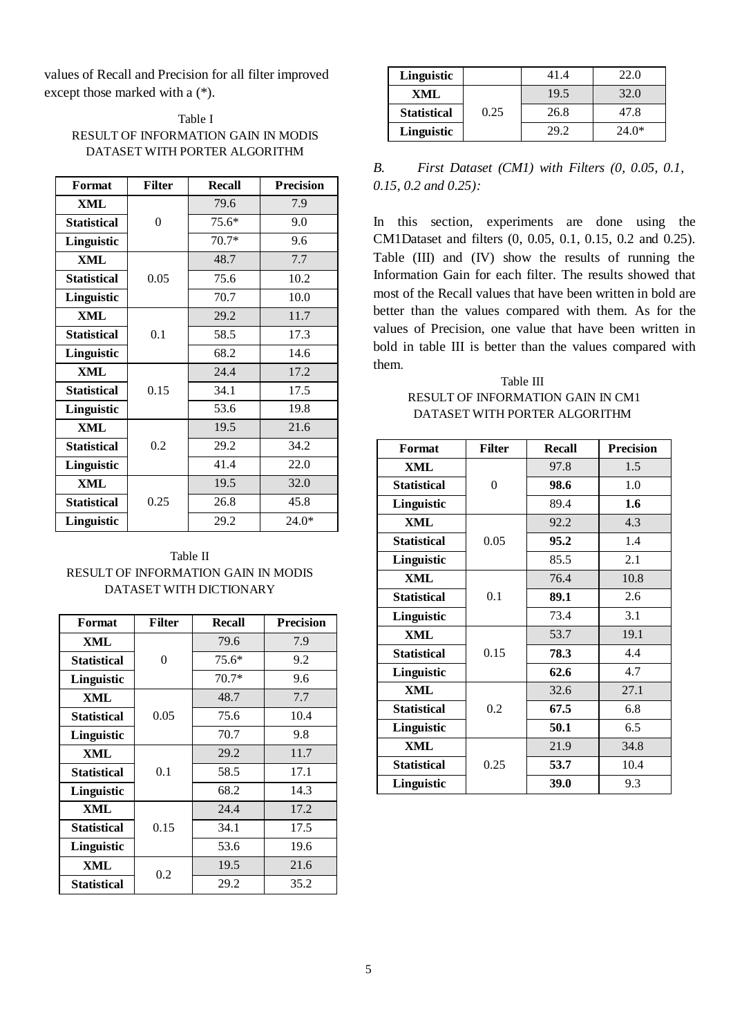values of Recall and Precision for all filter improved except those marked with a (\*).

| Table I                             |
|-------------------------------------|
| RESULT OF INFORMATION GAIN IN MODIS |
| DATASET WITH PORTER ALGORITHM       |

| Format             | <b>Filter</b> | Recall  | <b>Precision</b> |
|--------------------|---------------|---------|------------------|
| XML                |               | 79.6    | 7.9              |
| <b>Statistical</b> | $\theta$      | 75.6*   | 9.0              |
| Linguistic         |               | $70.7*$ | 9.6              |
| <b>XML</b>         |               | 48.7    | 7.7              |
| <b>Statistical</b> | 0.05          | 75.6    | 10.2             |
| Linguistic         |               | 70.7    | 10.0             |
| <b>XML</b>         |               | 29.2    | 11.7             |
| <b>Statistical</b> | 0.1           | 58.5    | 17.3             |
| Linguistic         |               | 68.2    | 14.6             |
| <b>XML</b>         |               | 24.4    | 17.2             |
| <b>Statistical</b> | 0.15          | 34.1    | 17.5             |
| Linguistic         |               | 53.6    | 19.8             |
| XML                |               | 19.5    | 21.6             |
| <b>Statistical</b> | 0.2           | 29.2    | 34.2             |
| Linguistic         |               | 41.4    | 22.0             |
| <b>XML</b>         |               | 19.5    | 32.0             |
| <b>Statistical</b> | 0.25          | 26.8    | 45.8             |
| Linguistic         |               | 29.2    | $24.0*$          |

Table II RESULT OF INFORMATION GAIN IN MODIS DATASET WITH DICTIONARY

| Format             | <b>Filter</b> | <b>Recall</b> | <b>Precision</b> |
|--------------------|---------------|---------------|------------------|
| XML                |               | 79.6          | 7.9              |
| <b>Statistical</b> | 0             | $75.6*$       | 9.2              |
| Linguistic         |               | $70.7*$       | 9.6              |
| XML                |               | 48.7          | 7.7              |
| <b>Statistical</b> | 0.05          | 75.6          | 10.4             |
| Linguistic         |               | 70.7          | 9.8              |
| XML                |               | 29.2          | 11.7             |
| <b>Statistical</b> | 0.1           | 58.5          | 17.1             |
| Linguistic         |               | 68.2          | 14.3             |
| XML                |               | 24.4          | 17.2             |
| <b>Statistical</b> | 0.15          | 34.1          | 17.5             |
| Linguistic         |               | 53.6          | 19.6             |
| XML                | 0.2           | 19.5          | 21.6             |
| <b>Statistical</b> |               | 29.2          | 35.2             |

| Linguistic         |      | 41.4 | 22.0    |
|--------------------|------|------|---------|
| XML                |      | 19.5 | 32.0    |
| <b>Statistical</b> | 0.25 | 26.8 | 47.8    |
| Linguistic         |      | 29.2 | $24.0*$ |

*B. First Dataset (CM1) with Filters (0, 0.05, 0.1, 0.15, 0.2 and 0.25):*

In this section, experiments are done using the CM1Dataset and filters (0, 0.05, 0.1, 0.15, 0.2 and 0.25). Table (III) and (IV) show the results of running the Information Gain for each filter. The results showed that most of the Recall values that have been written in bold are better than the values compared with them. As for the values of Precision, one value that have been written in bold in table III is better than the values compared with them.

Table III RESULT OF INFORMATION GAIN IN CM1 DATASET WITH PORTER ALGORITHM

| Format             | <b>Filter</b> | <b>Recall</b> | <b>Precision</b> |
|--------------------|---------------|---------------|------------------|
| <b>XML</b>         |               | 97.8          | 1.5              |
| <b>Statistical</b> | 0             | 98.6          | 1.0              |
| Linguistic         |               | 89.4          | 1.6              |
| <b>XML</b>         |               | 92.2          | 4.3              |
| <b>Statistical</b> | 0.05          | 95.2          | 1.4              |
| Linguistic         |               | 85.5          | 2.1              |
| <b>XML</b>         |               | 76.4          | 10.8             |
| <b>Statistical</b> | 0.1           | 89.1          | 2.6              |
| Linguistic         |               | 73.4          | 3.1              |
| XML                |               | 53.7          | 19.1             |
| <b>Statistical</b> | 0.15          | 78.3          | 4.4              |
| Linguistic         |               | 62.6          | 4.7              |
| <b>XML</b>         |               | 32.6          | 27.1             |
| <b>Statistical</b> | 0.2           | 67.5          | 6.8              |
| Linguistic         |               | 50.1          | 6.5              |
| <b>XML</b>         |               | 21.9          | 34.8             |
| <b>Statistical</b> | 0.25          | 53.7          | 10.4             |
| Linguistic         |               | 39.0          | 9.3              |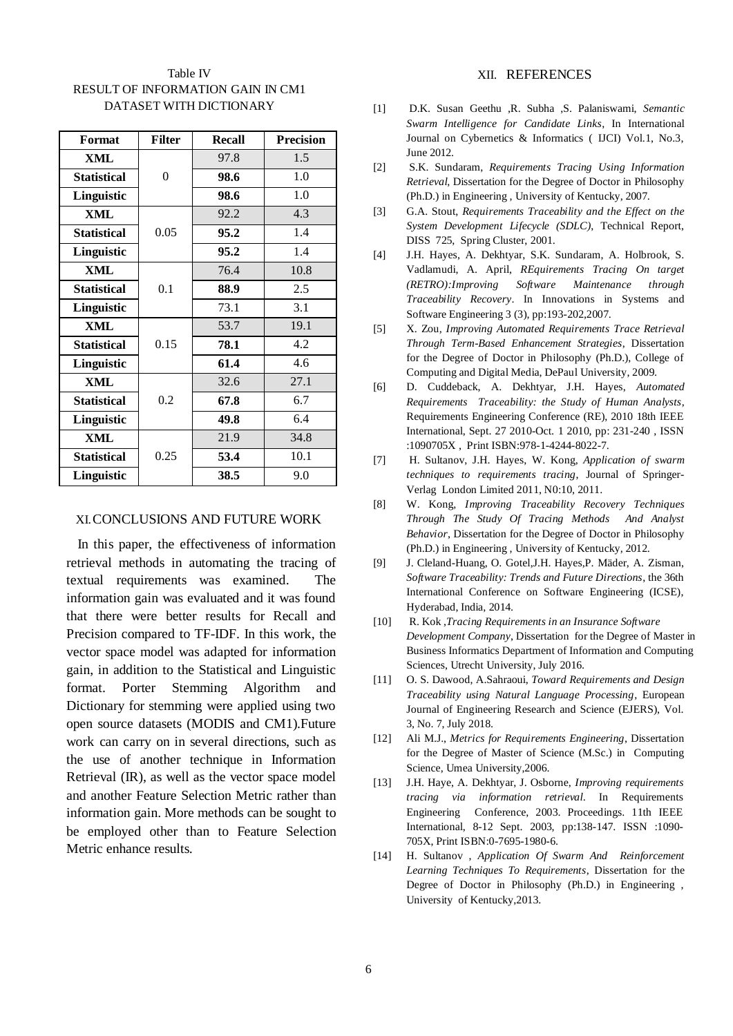# Table IV RESULT OF INFORMATION GAIN IN CM1 DATASET WITH DICTIONARY

| Format             | <b>Filter</b> | <b>Recall</b> | <b>Precision</b> |
|--------------------|---------------|---------------|------------------|
| XML                |               | 97.8          | 1.5              |
| <b>Statistical</b> | 0             | 98.6          | 1.0              |
| Linguistic         |               | 98.6          | 1.0              |
| <b>XML</b>         |               | 92.2          | 4.3              |
| <b>Statistical</b> | 0.05          | 95.2          | 1.4              |
| Linguistic         |               | 95.2          | 1.4              |
| XML                |               | 76.4          | 10.8             |
| <b>Statistical</b> | 0.1           | 88.9          | 2.5              |
| Linguistic         |               | 73.1          | 3.1              |
| <b>XML</b>         |               | 53.7          | 19.1             |
| <b>Statistical</b> | 0.15          | 78.1          | 4.2              |
| Linguistic         |               | 61.4          | 4.6              |
| <b>XML</b>         |               | 32.6          | 27.1             |
| <b>Statistical</b> | 0.2           | 67.8          | 6.7              |
| Linguistic         |               | 49.8          | 6.4              |
| <b>XML</b>         |               | 21.9          | 34.8             |
| <b>Statistical</b> | 0.25          | 53.4          | 10.1             |
| Linguistic         |               | 38.5          | 9.0              |

# XI.CONCLUSIONS AND FUTURE WORK

In this paper, the effectiveness of information retrieval methods in automating the tracing of textual requirements was examined. The information gain was evaluated and it was found that there were better results for Recall and Precision compared to TF-IDF. In this work, the vector space model was adapted for information gain, in addition to the Statistical and Linguistic format. Porter Stemming Algorithm and Dictionary for stemming were applied using two open source datasets (MODIS and CM1).Future work can carry on in several directions, such as the use of another technique in Information Retrieval (IR), as well as the vector space model and another Feature Selection Metric rather than information gain. More methods can be sought to be employed other than to Feature Selection Metric enhance results.

# XII. REFERENCES

- [1] D.K. Susan Geethu ,R. Subha ,S. Palaniswami, *Semantic Swarm Intelligence for Candidate Links*, In International Journal on Cybernetics & Informatics ( IJCI) Vol.1, No.3, June 2012.
- [2] S.K. Sundaram, *Requirements Tracing Using Information Retrieval*, Dissertation for the Degree of Doctor in Philosophy (Ph.D.) in Engineering , University of Kentucky, 2007.
- [3] G.A. Stout, *Requirements Traceability and the Effect on the System Development Lifecycle (SDLC)*, Technical Report, DISS 725, Spring Cluster, 2001.
- [4] J.H. Hayes, A. Dekhtyar, S.K. Sundaram, A. Holbrook, S. Vadlamudi, A. April, *REquirements Tracing On target (RETRO):Improving Software Maintenance through Traceability Recovery*. In Innovations in Systems and Software Engineering 3 (3), pp:193-202,2007.
- [5] X. Zou*, Improving Automated Requirements Trace Retrieval Through Term-Based Enhancement Strategies*, Dissertation for the Degree of Doctor in Philosophy (Ph.D.), College of Computing and Digital Media, DePaul University, 2009.
- [6] D. Cuddeback, A. Dekhtyar, J.H. Hayes, *Automated Requirements Traceability: the Study of Human Analysts*, Requirements Engineering Conference (RE), 2010 18th IEEE International, Sept. 27 2010-Oct. 1 2010, pp: 231-240 , ISSN :1090705X , Print ISBN:978-1-4244-8022-7.
- [7] H. Sultanov, J.H. Hayes, W. Kong, *Application of swarm techniques to requirements tracing*, Journal of Springer-Verlag London Limited 2011, N0:10, 2011.
- [8] W. Kong, *Improving Traceability Recovery Techniques Through The Study Of Tracing Methods And Analyst Behavior*, Dissertation for the Degree of Doctor in Philosophy (Ph.D.) in Engineering , University of Kentucky, 2012.
- [9] J. Cleland-Huang, O. Gotel,J.H. Hayes,P. Mäder, A. Zisman, *Software Traceability: Trends and Future Directions*, the 36th International Conference on Software Engineering (ICSE), Hyderabad, India, 2014.
- [10] R. Kok ,*Tracing Requirements in an Insurance Software Development Company*, Dissertation for the Degree of Master in Business Informatics Department of Information and Computing Sciences, Utrecht University, July 2016.
- [11] O. S. Dawood, A.Sahraoui, *Toward Requirements and Design Traceability using Natural Language Processing*, European Journal of Engineering Research and Science (EJERS), Vol. 3, No. 7, July 2018.
- [12] Ali M.J., *Metrics for Requirements Engineering*, Dissertation for the Degree of Master of Science (M.Sc.) in Computing Science, Umea University,2006.
- [13] J.H. Haye, A. Dekhtyar, J. Osborne, *Improving requirements tracing via information retrieval*. In Requirements Engineering Conference, 2003. Proceedings. 11th IEEE International, 8-12 Sept. 2003, pp:138-147. ISSN :1090- 705X, Print ISBN:0-7695-1980-6.
- [14] H. Sultanov , *Application Of Swarm And Reinforcement Learning Techniques To Requirements*, Dissertation for the Degree of Doctor in Philosophy (Ph.D.) in Engineering , University of Kentucky,2013.